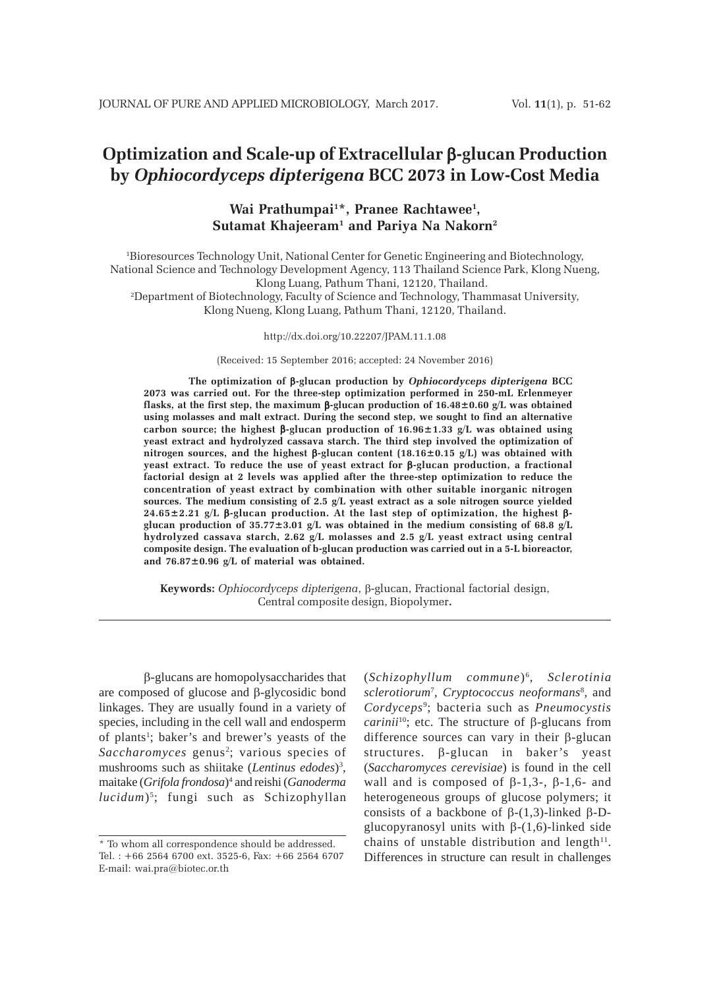# **Optimization and Scale-up of Extracellular** β**-glucan Production by** *Ophiocordyceps dipterigena* **BCC 2073 in Low-Cost Media**

# Wai Prathumpai<sup>1\*</sup>, Pranee Rachtawee<sup>1</sup>, **Sutamat Khajeeram1 and Pariya Na Nakorn2**

1 Bioresources Technology Unit, National Center for Genetic Engineering and Biotechnology, National Science and Technology Development Agency, 113 Thailand Science Park, Klong Nueng, Klong Luang, Pathum Thani, 12120, Thailand.

2 Department of Biotechnology, Faculty of Science and Technology, Thammasat University, Klong Nueng, Klong Luang, Pathum Thani, 12120, Thailand.

#### http://dx.doi.org/10.22207/JPAM.11.1.08

(Received: 15 September 2016; accepted: 24 November 2016)

**The optimization of** β**-glucan production by** *Ophiocordyceps dipterigena* **BCC 2073 was carried out. For the three-step optimization performed in 250-mL Erlenmeyer flasks, at the first step, the maximum** β**-glucan production of 16.48±0.60 g/L was obtained using molasses and malt extract. During the second step, we sought to find an alternative carbon source; the highest** β**-glucan production of 16.96±1.33 g/L was obtained using yeast extract and hydrolyzed cassava starch. The third step involved the optimization of nitrogen sources, and the highest** β**-glucan content (18.16±0.15 g/L) was obtained with yeast extract. To reduce the use of yeast extract for** β**-glucan production, a fractional factorial design at 2 levels was applied after the three-step optimization to reduce the concentration of yeast extract by combination with other suitable inorganic nitrogen sources. The medium consisting of 2.5 g/L yeast extract as a sole nitrogen source yielded 24.65±2.21 g/L** β**-glucan production. At the last step of optimization, the highest** β**glucan production of 35.77±3.01 g/L was obtained in the medium consisting of 68.8 g/L hydrolyzed cassava starch, 2.62 g/L molasses and 2.5 g/L yeast extract using central composite design. The evaluation of b-glucan production was carried out in a 5-L bioreactor, and 76.87±0.96 g/L of material was obtained.**

**Keywords:** *Ophiocordyceps dipterigena*, β-glucan, Fractional factorial design, Central composite design, Biopolymer**.**

β-glucans are homopolysaccharides that are composed of glucose and β-glycosidic bond linkages. They are usually found in a variety of species, including in the cell wall and endosperm of plants<sup>1</sup>; baker's and brewer's yeasts of the Saccharomyces genus<sup>2</sup>; various species of mushrooms such as shiitake (*Lentinus edodes*)3 , maitake (*Grifola frondosa*) 4 and reishi (*Ganoderma lucidum*) <sup>5</sup> ; fungi such as Schizophyllan

(*Schizophyllum commune*) 6, *Sclerotinia sclerotiorum*<sup>7</sup> , *Cryptococcus neoformans*<sup>8</sup> , and *Cordyceps*<sup>9</sup> ; bacteria such as *Pneumocystis carinii*10; etc. The structure of β-glucans from difference sources can vary in their β-glucan structures. β-glucan in baker's yeast (*Saccharomyces cerevisiae*) is found in the cell wall and is composed of  $\beta$ -1,3-,  $\beta$ -1,6- and heterogeneous groups of glucose polymers; it consists of a backbone of  $\beta$ -(1,3)-linked β-Dglucopyranosyl units with  $β-(1,6)$ -linked side chains of unstable distribution and length $11$ . Differences in structure can result in challenges

<sup>\*</sup> To whom all correspondence should be addressed. Tel. : +66 2564 6700 ext. 3525-6, Fax: +66 2564 6707 E-mail: wai.pra@biotec.or.th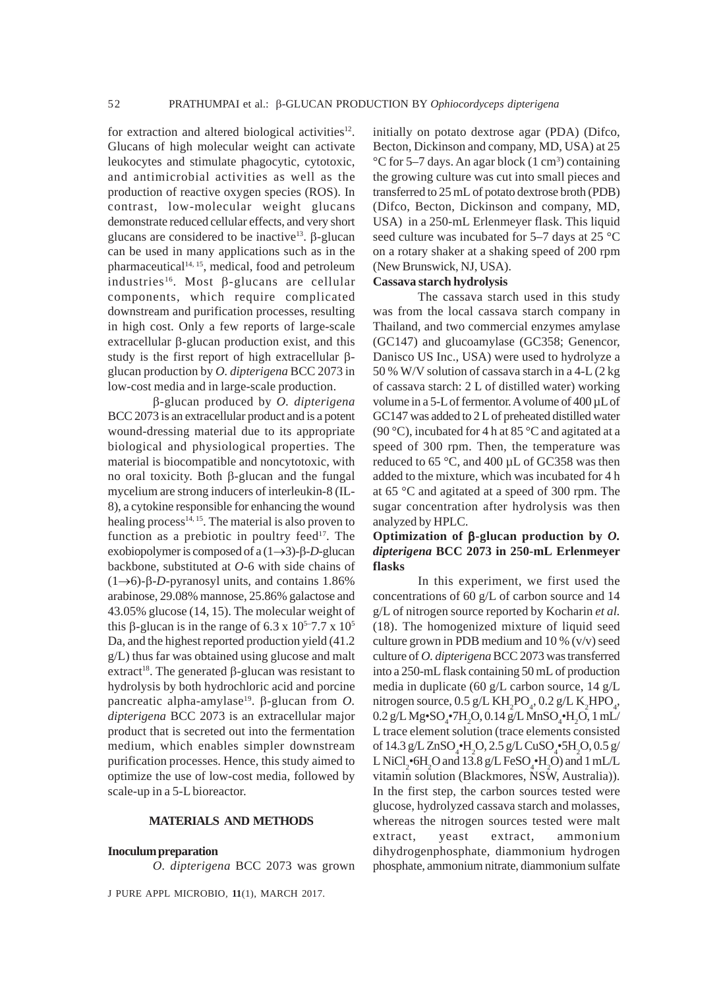for extraction and altered biological activities $12$ . Glucans of high molecular weight can activate leukocytes and stimulate phagocytic, cytotoxic, and antimicrobial activities as well as the production of reactive oxygen species (ROS). In contrast, low-molecular weight glucans demonstrate reduced cellular effects, and very short glucans are considered to be inactive<sup>13</sup>. β-glucan can be used in many applications such as in the pharmaceutical<sup>14, 15</sup>, medical, food and petroleum industries<sup>16</sup>. Most β-glucans are cellular components, which require complicated downstream and purification processes, resulting in high cost. Only a few reports of large-scale extracellular β-glucan production exist, and this study is the first report of high extracellular βglucan production by *O. dipterigena* BCC 2073 in low-cost media and in large-scale production.

β-glucan produced by *O. dipterigena* BCC 2073 is an extracellular product and is a potent wound-dressing material due to its appropriate biological and physiological properties. The material is biocompatible and noncytotoxic, with no oral toxicity. Both β-glucan and the fungal mycelium are strong inducers of interleukin-8 (IL-8), a cytokine responsible for enhancing the wound healing process $14, 15$ . The material is also proven to function as a prebiotic in poultry feed $17$ . The exobiopolymer is composed of a (1→3)-β-*D*-glucan backbone, substituted at *O*-6 with side chains of (1→6)-β-*D*-pyranosyl units, and contains 1.86% arabinose, 29.08% mannose, 25.86% galactose and 43.05% glucose (14, 15). The molecular weight of this β-glucan is in the range of 6.3 x  $10^{5}$ –7.7 x  $10^{5}$ Da, and the highest reported production yield (41.2 g/L) thus far was obtained using glucose and malt extract<sup>18</sup>. The generated  $\beta$ -glucan was resistant to hydrolysis by both hydrochloric acid and porcine pancreatic alpha-amylase<sup>19</sup>. β-glucan from *O*. *dipterigena* BCC 2073 is an extracellular major product that is secreted out into the fermentation medium, which enables simpler downstream purification processes. Hence, this study aimed to optimize the use of low-cost media, followed by scale-up in a 5-L bioreactor.

#### **MATERIALS AND METHODS**

#### **Inoculum preparation**

*O. dipterigena* BCC 2073 was grown

J PURE APPL MICROBIO*,* **11**(1), MARCH 2017.

initially on potato dextrose agar (PDA) (Difco, Becton, Dickinson and company, MD, USA) at 25 °C for 5–7 days. An agar block (1 cm<sup>3</sup>) containing the growing culture was cut into small pieces and transferred to 25 mL of potato dextrose broth (PDB) (Difco, Becton, Dickinson and company, MD, USA) in a 250-mL Erlenmeyer flask. This liquid seed culture was incubated for 5–7 days at 25 °C on a rotary shaker at a shaking speed of 200 rpm (New Brunswick, NJ, USA).

### **Cassava starch hydrolysis**

The cassava starch used in this study was from the local cassava starch company in Thailand, and two commercial enzymes amylase (GC147) and glucoamylase (GC358; Genencor, Danisco US Inc., USA) were used to hydrolyze a 50 % W/V solution of cassava starch in a 4-L (2 kg of cassava starch: 2 L of distilled water) working volume in a 5-L of fermentor. A volume of 400 µL of GC147 was added to 2 L of preheated distilled water (90 °C), incubated for 4 h at 85 °C and agitated at a speed of 300 rpm. Then, the temperature was reduced to 65 °C, and 400 µL of GC358 was then added to the mixture, which was incubated for 4 h at 65 °C and agitated at a speed of 300 rpm. The sugar concentration after hydrolysis was then analyzed by HPLC.

### **Optimization of** β**-glucan production by** *O. dipterigena* **BCC 2073 in 250-mL Erlenmeyer flasks**

In this experiment, we first used the concentrations of 60 g/L of carbon source and 14 g/L of nitrogen source reported by Kocharin *et al.* (18). The homogenized mixture of liquid seed culture grown in PDB medium and 10 % (v/v) seed culture of *O. dipterigena* BCC 2073 was transferred into a 250-mL flask containing 50 mL of production media in duplicate (60 g/L carbon source, 14 g/L nitrogen source,  $0.5 \text{ g/L KH}_2\text{PO}_4$ ,  $0.2 \text{ g/L K}_2\text{HPO}_4$ ,  $0.2 \,\text{g/L} \,\text{Mg} \cdot \text{SO}_4 \cdot \text{7H}_2\text{O}, 0.14 \,\text{g/L} \,\text{MnSO}_4 \cdot \text{H}_2\text{O}, 1 \,\text{mL}$ L trace element solution (trace elements consisted of 14.3 g/L ZnSO<sub>4</sub>•H<sub>2</sub>O, 2.5 g/L CuSO<sub>4</sub>•5H<sub>2</sub>O, 0.5 g/ L NiCl<sub>2</sub> $\cdot$ 6H<sub>2</sub>O and 13.8 g/L FeSO<sub>4</sub> $\cdot$ H<sub>2</sub>O) and 1 mL/L vitamin solution (Blackmores, NSW, Australia)). In the first step, the carbon sources tested were glucose, hydrolyzed cassava starch and molasses, whereas the nitrogen sources tested were malt extract, yeast extract, ammonium dihydrogenphosphate, diammonium hydrogen phosphate, ammonium nitrate, diammonium sulfate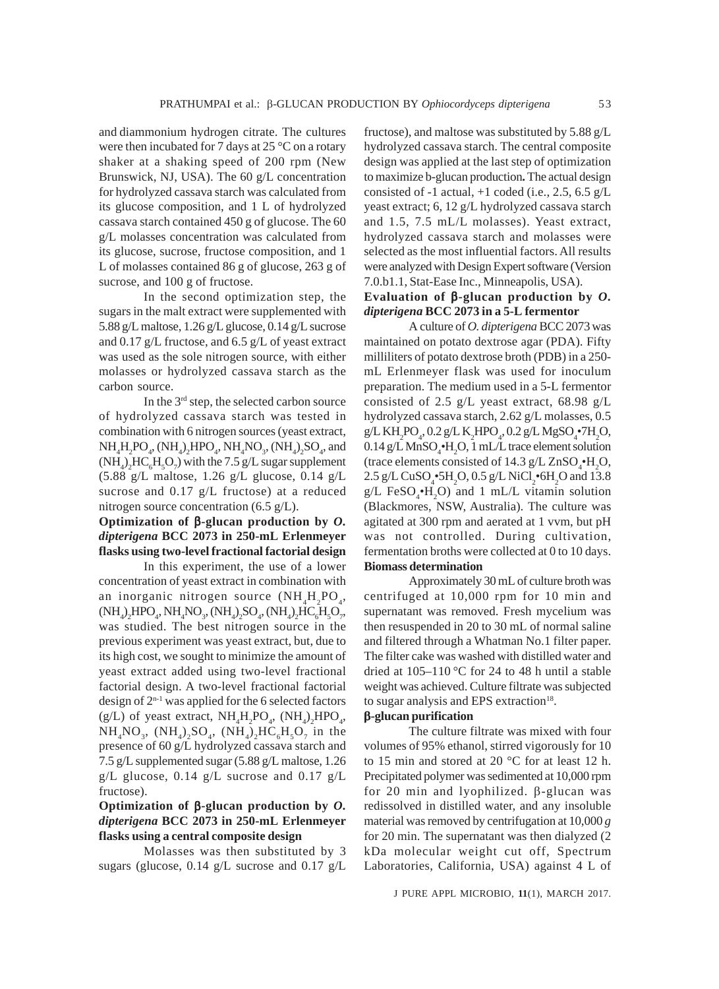and diammonium hydrogen citrate. The cultures were then incubated for 7 days at 25 °C on a rotary shaker at a shaking speed of 200 rpm (New Brunswick, NJ, USA). The 60 g/L concentration for hydrolyzed cassava starch was calculated from its glucose composition, and 1 L of hydrolyzed cassava starch contained 450 g of glucose. The 60 g/L molasses concentration was calculated from its glucose, sucrose, fructose composition, and 1 L of molasses contained 86 g of glucose, 263 g of sucrose, and 100 g of fructose.

In the second optimization step, the sugars in the malt extract were supplemented with 5.88 g/L maltose, 1.26 g/L glucose, 0.14 g/L sucrose and 0.17 g/L fructose, and 6.5 g/L of yeast extract was used as the sole nitrogen source, with either molasses or hydrolyzed cassava starch as the carbon source.

In the  $3<sup>rd</sup>$  step, the selected carbon source of hydrolyzed cassava starch was tested in combination with 6 nitrogen sources (yeast extract,  $NH_4H_2PO_4$ ,  $(NH_4)_2HPO_4$ ,  $NH_4NO_3$ ,  $(NH_4)_2SO_4$ , and  $(NH_4)_2HC_6H_5O_7$  with the 7.5 g/L sugar supplement  $(5.88 \text{ g/L} \text{ maltose}, 1.26 \text{ g/L} \text{ glucose}, 0.14 \text{ g/L})$ sucrose and 0.17 g/L fructose) at a reduced nitrogen source concentration (6.5 g/L).

# **Optimization of** β**-glucan production by** *O. dipterigena* **BCC 2073 in 250-mL Erlenmeyer flasks using two-level fractional factorial design**

In this experiment, the use of a lower concentration of yeast extract in combination with an inorganic nitrogen source  $(NH_4H_2PO_4,$  $(\mathrm{NH}_4)_2\mathrm{HPO}_4$ ,  $\mathrm{NH}_4\mathrm{NO}_3$ ,  $(\mathrm{NH}_4)_2\mathrm{SO}_4$ ,  $(\mathrm{NH}_4)_2\mathrm{HC}_6\mathrm{H}_5\mathrm{O}_7$ , was studied. The best nitrogen source in the previous experiment was yeast extract, but, due to its high cost, we sought to minimize the amount of yeast extract added using two-level fractional factorial design. A two-level fractional factorial design of  $2^{n-1}$  was applied for the 6 selected factors (g/L) of yeast extract,  $NH_4H_2PO_4$ ,  $(NH_4)_2HPO_4$ ,  $NH_4NO_3$ ,  $(NH_4)_2SO_4$ ,  $(NH_4)_2HC_6H_5O_7$  in the presence of 60 g/L hydrolyzed cassava starch and 7.5 g/L supplemented sugar (5.88 g/L maltose, 1.26 g/L glucose, 0.14 g/L sucrose and 0.17 g/L fructose).

# **Optimization of** β**-glucan production by** *O. dipterigena* **BCC 2073 in 250-mL Erlenmeyer flasks using a central composite design**

Molasses was then substituted by 3 sugars (glucose, 0.14 g/L sucrose and 0.17 g/L fructose), and maltose was substituted by 5.88 g/L hydrolyzed cassava starch. The central composite design was applied at the last step of optimization to maximize b-glucan production**.** The actual design consisted of -1 actual,  $+1$  coded (i.e., 2.5, 6.5 g/L yeast extract; 6, 12 g/L hydrolyzed cassava starch and 1.5, 7.5 mL/L molasses). Yeast extract, hydrolyzed cassava starch and molasses were selected as the most influential factors. All results were analyzed with Design Expert software (Version 7.0.b1.1, Stat-Ease Inc., Minneapolis, USA).

### **Evaluation of** β**-glucan production by** *O. dipterigena* **BCC 2073 in a 5-L fermentor**

A culture of *O. dipterigena* BCC 2073 was maintained on potato dextrose agar (PDA). Fifty milliliters of potato dextrose broth (PDB) in a 250 mL Erlenmeyer flask was used for inoculum preparation. The medium used in a 5-L fermentor consisted of 2.5 g/L yeast extract, 68.98 g/L hydrolyzed cassava starch, 2.62 g/L molasses, 0.5  $g/L$  KH<sub>2</sub>PO<sub>4</sub>, 0.2 g/L K<sub>2</sub>HPO<sub>4</sub>, 0.2 g/L MgSO<sub>4</sub>•7H<sub>2</sub>O,  $0.14 \text{ g/L} \text{MnSO}_4\text{H}_2\text{O}$ , 1 mL/L trace element solution (trace elements consisted of 14.3  $g/L ZnSO_4\bullet H_2O$ ,  $2.5 \text{ g/L CuSO}_4\text{-}^5H_2O$ ,  $0.5 \text{ g/L NiCl}_2\text{-}^6H_2O$  and  $13.8$  $g/L$  FeSO<sub>4</sub> $\cdot$ H<sub>2</sub>O) and 1 mL/L vitamin solution (Blackmores, NSW, Australia). The culture was agitated at 300 rpm and aerated at 1 vvm, but pH was not controlled. During cultivation, fermentation broths were collected at 0 to 10 days. **Biomass determination**

Approximately 30 mL of culture broth was centrifuged at 10,000 rpm for 10 min and supernatant was removed. Fresh mycelium was then resuspended in 20 to 30 mL of normal saline and filtered through a Whatman No.1 filter paper. The filter cake was washed with distilled water and dried at  $105-110$  °C for 24 to 48 h until a stable weight was achieved. Culture filtrate was subjected to sugar analysis and EPS extraction $18$ .

#### β**-glucan purification**

The culture filtrate was mixed with four volumes of 95% ethanol, stirred vigorously for 10 to 15 min and stored at 20 °C for at least 12 h. Precipitated polymer was sedimented at 10,000 rpm for 20 min and lyophilized. β-glucan was redissolved in distilled water, and any insoluble material was removed by centrifugation at 10,000 *g* for 20 min. The supernatant was then dialyzed (2 kDa molecular weight cut off, Spectrum Laboratories, California, USA) against 4 L of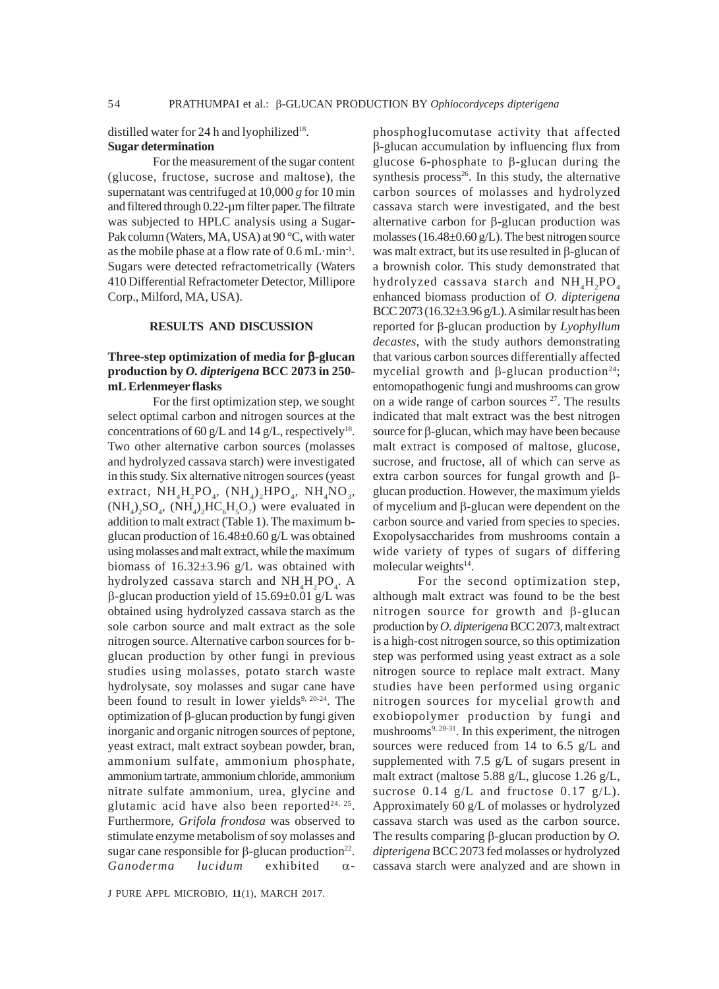distilled water for 24 h and lyophilized<sup>18</sup>. **Sugar determination**

For the measurement of the sugar content (glucose, fructose, sucrose and maltose), the supernatant was centrifuged at 10,000 *g* for 10 min and filtered through 0.22-µm filter paper. The filtrate was subjected to HPLC analysis using a Sugar-Pak column (Waters, MA, USA) at 90 °C, with water as the mobile phase at a flow rate of 0.6 mL·min-1. Sugars were detected refractometrically (Waters 410 Differential Refractometer Detector, Millipore Corp., Milford, MA, USA).

#### **RESULTS AND DISCUSSION**

# **Three-step optimization of media for** β**-glucan production by** *O. dipterigena* **BCC 2073 in 250 mL Erlenmeyer flasks**

For the first optimization step, we sought select optimal carbon and nitrogen sources at the concentrations of 60 g/L and 14 g/L, respectively<sup>18</sup>. Two other alternative carbon sources (molasses and hydrolyzed cassava starch) were investigated in this study. Six alternative nitrogen sources (yeast extract,  $NH_4H_2PO_4$ ,  $(NH_4)_2HPO_4$ ,  $NH_4NO_3$ ,  $(NH_4)_2SO_4$ ,  $(NH_4)_2HC_6H_5O_7$ ) were evaluated in addition to malt extract (Table 1). The maximum bglucan production of 16.48±0.60 g/L was obtained using molasses and malt extract, while the maximum biomass of  $16.32\pm3.96$  g/L was obtained with hydrolyzed cassava starch and  $NH_4H_2PO_4$ . A β-glucan production yield of 15.69±0.01 g/L was obtained using hydrolyzed cassava starch as the sole carbon source and malt extract as the sole nitrogen source. Alternative carbon sources for bglucan production by other fungi in previous studies using molasses, potato starch waste hydrolysate, soy molasses and sugar cane have been found to result in lower yields<sup>9, 20-24</sup>. The optimization of β-glucan production by fungi given inorganic and organic nitrogen sources of peptone, yeast extract, malt extract soybean powder, bran, ammonium sulfate, ammonium phosphate, ammonium tartrate, ammonium chloride, ammonium nitrate sulfate ammonium, urea, glycine and glutamic acid have also been reported<sup>24, 25</sup>. Furthermore, *Grifola frondosa* was observed to stimulate enzyme metabolism of soy molasses and sugar cane responsible for  $\beta$ -glucan production<sup>22</sup>. *Ganoderma lucidum* exhibited α-

phosphoglucomutase activity that affected β-glucan accumulation by influencing flux from glucose 6-phosphate to β-glucan during the synthesis process $26$ . In this study, the alternative carbon sources of molasses and hydrolyzed cassava starch were investigated, and the best alternative carbon for β-glucan production was molasses (16.48 $\pm$ 0.60 g/L). The best nitrogen source was malt extract, but its use resulted in β-glucan of a brownish color. This study demonstrated that hydrolyzed cassava starch and  $NH<sub>4</sub>HO<sub>4</sub>$ enhanced biomass production of *O. dipterigena* BCC 2073 (16.32 $\pm$ 3.96 g/L). A similar result has been reported for β-glucan production by *Lyophyllum decastes*, with the study authors demonstrating that various carbon sources differentially affected mycelial growth and β-glucan production<sup>24</sup>; entomopathogenic fungi and mushrooms can grow on a wide range of carbon sources  $27$ . The results indicated that malt extract was the best nitrogen source for β-glucan, which may have been because malt extract is composed of maltose, glucose, sucrose, and fructose, all of which can serve as extra carbon sources for fungal growth and βglucan production. However, the maximum yields of mycelium and β-glucan were dependent on the carbon source and varied from species to species. Exopolysaccharides from mushrooms contain a wide variety of types of sugars of differing molecular weights $14$ .

For the second optimization step, although malt extract was found to be the best nitrogen source for growth and β-glucan production by *O. dipterigena* BCC 2073, malt extract is a high-cost nitrogen source, so this optimization step was performed using yeast extract as a sole nitrogen source to replace malt extract. Many studies have been performed using organic nitrogen sources for mycelial growth and exobiopolymer production by fungi and mushrooms $9, 28-31$ . In this experiment, the nitrogen sources were reduced from 14 to 6.5 g/L and supplemented with 7.5 g/L of sugars present in malt extract (maltose 5.88 g/L, glucose 1.26 g/L, sucrose  $0.14$  g/L and fructose  $0.17$  g/L). Approximately 60 g/L of molasses or hydrolyzed cassava starch was used as the carbon source. The results comparing β-glucan production by *O. dipterigena* BCC 2073 fed molasses or hydrolyzed cassava starch were analyzed and are shown in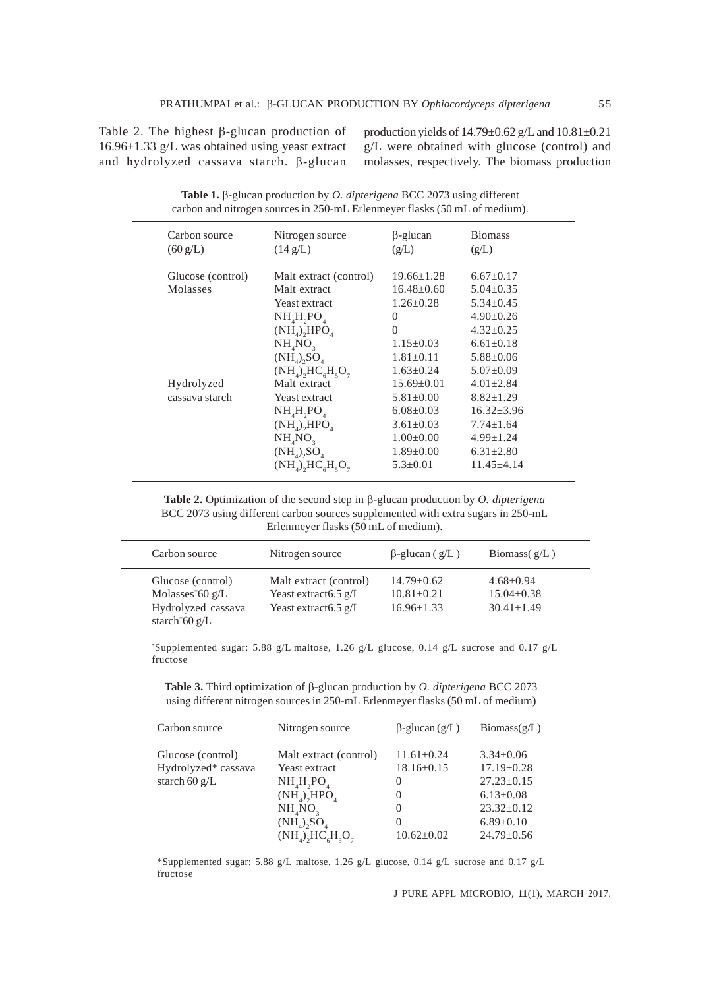Table 2. The highest β-glucan production of 16.96±1.33 g/L was obtained using yeast extract and hydrolyzed cassava starch. β-glucan production yields of  $14.79 \pm 0.62$  g/L and  $10.81 \pm 0.21$ g/L were obtained with glucose (control) and molasses, respectively. The biomass production

| Carbon source<br>$(60 \text{ g/L})$ | Nitrogen source<br>$(14 \text{ g/L})$                                                                                                                            | $\beta$ -glucan<br>(g/L)                                                                                                          | <b>Biomass</b><br>(g/L)                                                                                                             |
|-------------------------------------|------------------------------------------------------------------------------------------------------------------------------------------------------------------|-----------------------------------------------------------------------------------------------------------------------------------|-------------------------------------------------------------------------------------------------------------------------------------|
| Glucose (control)<br>Molasses       | Malt extract (control)<br>Malt extract<br>Yeast extract<br>$NH4H2PO4$                                                                                            | $19.66 \pm 1.28$<br>$16.48 \pm 0.60$<br>$1.26 \pm 0.28$<br>$\Omega$                                                               | $6.67 \pm 0.17$<br>$5.04 \pm 0.35$<br>$5.34 \pm 0.45$<br>$4.90 \pm 0.26$                                                            |
|                                     | $(NH_4)$ <sub>2</sub> HPO <sub>4</sub><br>$NH_{4}NO_{3}$<br>$(NH_4)$ , $SO_4$<br>$(NH_A)$ <sub>2</sub> HC <sub>6</sub> H <sub>5</sub> O <sub>7</sub>             | $\Omega$<br>$1.15 \pm 0.03$<br>$1.81 \pm 0.11$<br>$1.63 \pm 0.24$                                                                 | $4.32 \pm 0.25$<br>$6.61 \pm 0.18$<br>$5.88 \pm 0.06$<br>$5.07 \pm 0.09$                                                            |
| Hydrolyzed<br>cassava starch        | Malt extract<br>Yeast extract<br>$NH_{4}H_{2}PO_{4}$<br>$(NH_4)$ <sub>2</sub> HPO <sub>4</sub><br>$NH_{4}NO_{3}$<br>$(NH_4)$ , $SO_4$<br>$(NH_4)$ , $HC_6H_5O_7$ | $15.69 \pm 0.01$<br>$5.81 \pm 0.00$<br>$6.08 \pm 0.03$<br>$3.61 \pm 0.03$<br>$1.00 \pm 0.00$<br>$1.89 \pm 0.00$<br>$5.3 \pm 0.01$ | $4.01 \pm 2.84$<br>$8.82 \pm 1.29$<br>$16.32 \pm 3.96$<br>$7.74 \pm 1.64$<br>$4.99 \pm 1.24$<br>$6.31 \pm 2.80$<br>$11.45 \pm 4.14$ |

**Table 1.** β-glucan production by *O. dipterigena* BCC 2073 using different carbon and nitrogen sources in 250-mL Erlenmeyer flasks (50 mL of medium).

**Table 2.** Optimization of the second step in β-glucan production by *O. dipterigena* BCC 2073 using different carbon sources supplemented with extra sugars in 250-mL Erlenmeyer flasks (50 mL of medium).

| Carbon source                                                                                       | Nitrogen source                                                                              | $\beta$ -glucan (g/L)                                | Biomass $(g/L)$                                     |
|-----------------------------------------------------------------------------------------------------|----------------------------------------------------------------------------------------------|------------------------------------------------------|-----------------------------------------------------|
| Glucose (control)<br>Molasses <sup>*60</sup> $g/L$<br>Hydrolyzed cassava<br>starch $60 \text{ g/L}$ | Malt extract (control)<br>Yeast extract $6.5 \text{ g/L}$<br>Yeast extract $6.5 \text{ g/L}$ | $14.79 + 0.62$<br>$10.81 + 0.21$<br>$16.96 \pm 1.33$ | $4.68 + 0.94$<br>$15.04 \pm 0.38$<br>$30.41 + 1.49$ |

\* Supplemented sugar: 5.88 g/L maltose, 1.26 g/L glucose, 0.14 g/L sucrose and 0.17 g/L fructose

**Table 3.** Third optimization of β-glucan production by *O. dipterigena* BCC 2073 using different nitrogen sources in 250-mL Erlenmeyer flasks (50 mL of medium)

| Carbon source                                               | Nitrogen source                                                                                                                                                            | $\beta$ -glucan (g/L)                                                                            | $\text{Biomass}(\mathbf{g}/\mathbf{L})$                                                                                               |
|-------------------------------------------------------------|----------------------------------------------------------------------------------------------------------------------------------------------------------------------------|--------------------------------------------------------------------------------------------------|---------------------------------------------------------------------------------------------------------------------------------------|
| Glucose (control)<br>Hydrolyzed* cassava<br>starch 60 $g/L$ | Malt extract (control)<br>Yeast extract<br>$NH_{4}H_{2}PO_{4}$<br>$(NH_4)$ <sub>A</sub> HPO <sub>4</sub><br>$NH_{4}NO_{2}$<br>$(NH_A)$ , $SO_A$<br>$(NH_4)$ , $HC_6H_5O_7$ | $11.61 + 0.24$<br>$18.16 \pm 0.15$<br>$\theta$<br>$_{0}$<br>$\Omega$<br>$_{0}$<br>$10.62 + 0.02$ | $3.34 \pm 0.06$<br>$17.19 \pm 0.28$<br>$27.23 \pm 0.15$<br>$6.13 \pm 0.08$<br>$23.32 \pm 0.12$<br>$6.89 \pm 0.10$<br>$24.79 \pm 0.56$ |
|                                                             |                                                                                                                                                                            |                                                                                                  |                                                                                                                                       |

\*Supplemented sugar: 5.88 g/L maltose, 1.26 g/L glucose, 0.14 g/L sucrose and 0.17 g/L fructose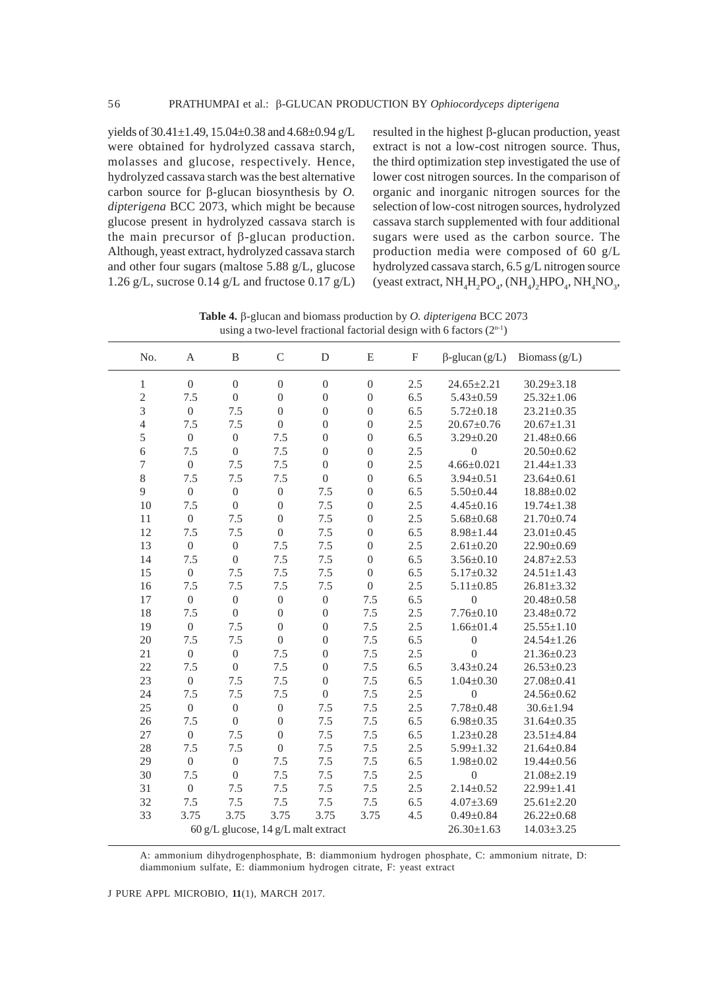yields of  $30.41 \pm 1.49$ ,  $15.04 \pm 0.38$  and  $4.68 \pm 0.94$  g/L were obtained for hydrolyzed cassava starch, molasses and glucose, respectively. Hence, hydrolyzed cassava starch was the best alternative carbon source for β-glucan biosynthesis by *O. dipterigena* BCC 2073, which might be because glucose present in hydrolyzed cassava starch is the main precursor of β-glucan production. Although, yeast extract, hydrolyzed cassava starch and other four sugars (maltose 5.88 g/L, glucose 1.26 g/L, sucrose 0.14 g/L and fructose 0.17 g/L)

resulted in the highest β-glucan production, yeast extract is not a low-cost nitrogen source. Thus, the third optimization step investigated the use of lower cost nitrogen sources. In the comparison of organic and inorganic nitrogen sources for the selection of low-cost nitrogen sources, hydrolyzed cassava starch supplemented with four additional sugars were used as the carbon source. The production media were composed of 60 g/L hydrolyzed cassava starch, 6.5 g/L nitrogen source (yeast extract,  $NH_4H_2PO_4$ ,  $(NH_4)_2HPO_4$ ,  $NH_4NO_3$ ,

using a two-level fractional factorial design with 6 factors  $(2^{n-1})$ No. A B C D E F β-glucan (g/L) Biomass (g/L) 1 0 0 0 0 0 2.5  $24.65 \pm 2.21$   $30.29 \pm 3.18$ 2 7.5 0 0 0 0 6.5 5.43±0.59 25.32±1.06 3 0 7.5 0 0 0 6.5 5.72±0.18 23.21±0.35 4 7.5 7.5 0 0 0 2.5 20.67±0.76 20.67±1.31 5 0 0 7.5 0 0 6.5 3.29±0.20 21.48±0.66 6 7.5 0 7.5 0 0 2.5 0 20.50 $\pm$ 0.62 7 0 7.5 7.5 0 0 2.5 4.66±0.021 21.44±1.33 8 7.5 7.5 7.5 0 0 6.5 3.94±0.51 23.64±0.61 9 0 0 0 7.5 0 6.5 5.50±0.44 18.88±0.02 10 7.5 0 0 7.5 0 2.5 4.45±0.16 19.74±1.38 11 0 7.5 0 7.5 0 2.5 5.68±0.68 21.70±0.74 12 7.5 7.5 0 7.5 0 6.5 8.98±1.44 23.01±0.45 13 0 0 7.5 7.5 0 2.5 2.61±0.20 22.90±0.69 14 7.5 0 7.5 7.5 0 6.5 3.56±0.10 24.87±2.53 15 0 7.5 7.5 7.5 0 6.5 5.17±0.32 24.51±1.43 16 7.5 7.5 7.5 7.5 0 2.5 5.11±0.85 26.81±3.32 17 0 0 0 0 7.5 6.5 0 20.48±0.58 18 7.5 0 0 0 7.5 2.5 7.76±0.10 23.48±0.72 19 0 7.5 0 0 7.5 2.5 1.66±01.4 25.55±1.10 20 7.5 7.5 0 0 7.5 6.5 0 24.54±1.26 21 0 0 7.5 0 7.5 2.5 0 21.36±0.23 22 7.5 0 7.5 0 7.5 6.5 3.43±0.24 26.53±0.23 23 0 7.5 7.5 0 7.5 6.5 1.04±0.30 27.08±0.41 24 7.5 7.5 7.5 0 7.5 2.5 0 24.56±0.62 25 0 0 0 7.5 7.5 2.5 7.78±0.48 30.6±1.94 26 7.5 0 0 7.5 7.5 6.5 6.98±0.35 31.64±0.35 27 0 7.5 0 7.5 7.5 6.5 1.23±0.28 23.51±4.84 28 7.5 7.5 0 7.5 7.5 2.5 5.99±1.32 21.64±0.84 29 0 0 7.5 7.5 7.5 6.5 1.98±0.02 19.44±0.56 30 7.5 0 7.5 7.5 7.5 2.5 0 21.08±2.19 31 0 7.5 7.5 7.5 7.5 2.5 2.14±0.52 22.99±1.41 32 7.5 7.5 7.5 7.5 7.5 6.5 4.07±3.69 25.61±2.20 33 3.75 3.75 3.75 3.75 3.75 4.5 0.49±0.84 26.22±0.68 60 g/L glucose, 14 g/L malt extract 26.30±1.63 14.03±3.25

**Table 4.** β-glucan and biomass production by *O. dipterigena* BCC 2073

A: ammonium dihydrogenphosphate, B: diammonium hydrogen phosphate, C: ammonium nitrate, D: diammonium sulfate, E: diammonium hydrogen citrate, F: yeast extract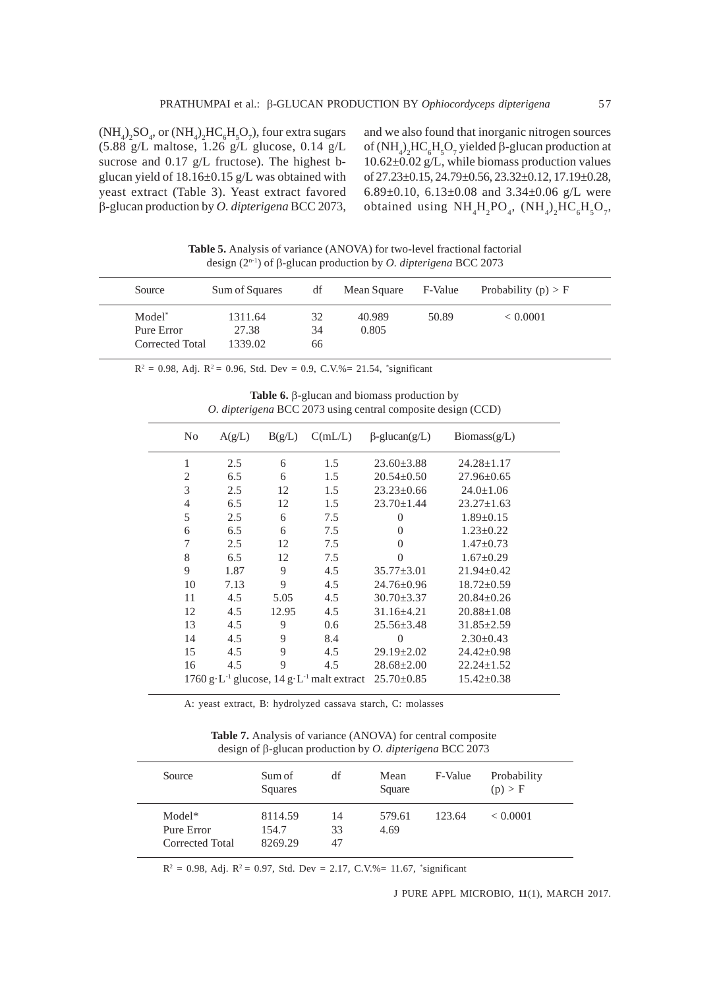$(\text{NH}_4)_2\text{SO}_4$ , or  $(\text{NH}_4)_2\text{HC}_6\text{H}_5\text{O}_7$ ), four extra sugars (5.88 g/L maltose, 1.26 g/L glucose, 0.14 g/L sucrose and 0.17 g/L fructose). The highest bglucan yield of  $18.16\pm0.15$  g/L was obtained with yeast extract (Table 3). Yeast extract favored β-glucan production by *O. dipterigena* BCC 2073,

and we also found that inorganic nitrogen sources of (NH<sub>4</sub>)<sub>2</sub>HC<sub>6</sub>H<sub>5</sub>O<sub>7</sub> yielded β-glucan production at 10.62±0.02 g/L, while biomass production values of 27.23±0.15, 24.79±0.56, 23.32±0.12, 17.19±0.28, 6.89±0.10, 6.13±0.08 and 3.34±0.06 g/L were obtained using  $NH_4H_2PO_4$ ,  $(NH_4)_2HC_6H_5O_7$ ,

**Table 5.** Analysis of variance (ANOVA) for two-level fractional factorial design (2n-1) of β-glucan production by *O. dipterigena* BCC 2073

| Source                                              | Sum of Squares              | df             | Mean Square     | F-Value | Probability $(p) > F$ |
|-----------------------------------------------------|-----------------------------|----------------|-----------------|---------|-----------------------|
| Model <sup>*</sup><br>Pure Error<br>Corrected Total | 1311.64<br>27.38<br>1339.02 | 32<br>34<br>66 | 40.989<br>0.805 | 50.89   | < 0.0001              |

 $R^2 = 0.98$ , Adj.  $R^2 = 0.96$ , Std. Dev = 0.9, C.V.%= 21.54, \*significant

| <b>Table 6.</b> $\beta$ -glucan and biomass production by           |  |
|---------------------------------------------------------------------|--|
| <i>O. dipterigena</i> BCC 2073 using central composite design (CCD) |  |

| No             | A(g/L) | B(g/L) | C(mL/L)                                                                          | $\beta$ -glucan(g/L) | $\text{Biomass}(\text{g/L})$ |
|----------------|--------|--------|----------------------------------------------------------------------------------|----------------------|------------------------------|
| 1              | 2.5    | 6      | 1.5                                                                              | $23.60 \pm 3.88$     | $24.28 \pm 1.17$             |
| 2              | 6.5    | 6      | 1.5                                                                              | $20.54 \pm 0.50$     | $27.96 \pm 0.65$             |
| 3              | 2.5    | 12     | 1.5                                                                              | $23.23 \pm 0.66$     | $24.0 \pm 1.06$              |
| $\overline{4}$ | 6.5    | 12     | 1.5                                                                              | $23.70 \pm 1.44$     | $23.27 \pm 1.63$             |
| 5              | 2.5    | 6      | 7.5                                                                              | $\Omega$             | $1.89 \pm 0.15$              |
| 6              | 6.5    | 6      | 7.5                                                                              | $\theta$             | $1.23 \pm 0.22$              |
| 7              | 2.5    | 12     | 7.5                                                                              | $\theta$             | $1.47 \pm 0.73$              |
| 8              | 6.5    | 12     | 7.5                                                                              | $\Omega$             | $1.67 \pm 0.29$              |
| 9              | 1.87   | 9      | 4.5                                                                              | $35.77 \pm 3.01$     | $21.94 \pm 0.42$             |
| 10             | 7.13   | 9      | 4.5                                                                              | $24.76 \pm 0.96$     | $18.72 \pm 0.59$             |
| 11             | 4.5    | 5.05   | 4.5                                                                              | $30.70 \pm 3.37$     | $20.84 \pm 0.26$             |
| 12             | 4.5    | 12.95  | 4.5                                                                              | $31.16\pm4.21$       | $20.88 \pm 1.08$             |
| 13             | 4.5    | 9      | 0.6                                                                              | $25.56 \pm 3.48$     | $31.85 \pm 2.59$             |
| 14             | 4.5    | 9      | 8.4                                                                              | $\Omega$             | $2.30 \pm 0.43$              |
| 15             | 4.5    | 9      | 4.5                                                                              | $29.19 \pm 2.02$     | $24.42 \pm 0.98$             |
| 16             | 4.5    | 9      | 4.5                                                                              | $28.68 \pm 2.00$     | $22.24 \pm 1.52$             |
|                |        |        | 1760 g·L <sup>-1</sup> glucose, 14 g·L <sup>-1</sup> malt extract $25.70\pm0.85$ |                      | $15.42 \pm 0.38$             |
|                |        |        |                                                                                  |                      |                              |

A: yeast extract, B: hydrolyzed cassava starch, C: molasses

**Table 7.** Analysis of variance (ANOVA) for central composite design of β-glucan production by *O. dipterigena* BCC 2073

| Source                                  | Sum of<br>Squares           | df             | Mean<br>Square | F-Value | Probability<br>(p) > F |
|-----------------------------------------|-----------------------------|----------------|----------------|---------|------------------------|
| Model*<br>Pure Error<br>Corrected Total | 8114.59<br>154.7<br>8269.29 | 14<br>33<br>47 | 579.61<br>4.69 | 123.64  | < 0.0001               |

 $R^2 = 0.98$ , Adj.  $R^2 = 0.97$ , Std. Dev = 2.17, C.V.%= 11.67, \*significant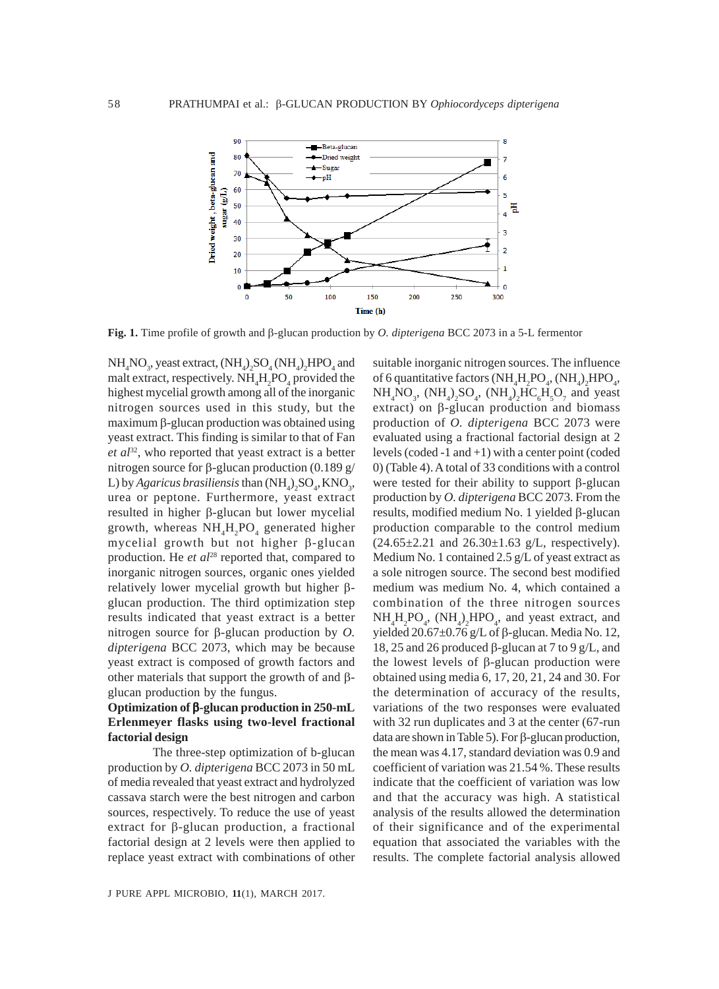

**Fig. 1.** Time profile of growth and β-glucan production by *O. dipterigena* BCC 2073 in a 5-L fermentor

 $NH<sub>4</sub>NO<sub>3</sub>$ , yeast extract,  $(HH<sub>4</sub>)<sub>2</sub>SO<sub>4</sub> (NH<sub>4</sub>)<sub>2</sub> HPO<sub>4</sub>$  and malt extract, respectively.  $NH<sub>4</sub>H<sub>2</sub>PO<sub>4</sub>$  provided the highest mycelial growth among all of the inorganic nitrogen sources used in this study, but the maximum β-glucan production was obtained using yeast extract. This finding is similar to that of Fan *et al*32, who reported that yeast extract is a better nitrogen source for β-glucan production  $(0.189 \text{ g})$ L) by *Agaricus brasiliensis* than  $(\text{NH}_4)_2\text{SO}_4$ , KNO<sub>3</sub>, urea or peptone. Furthermore, yeast extract resulted in higher β-glucan but lower mycelial growth, whereas  $NH<sub>4</sub>H<sub>2</sub>PO<sub>4</sub>$  generated higher mycelial growth but not higher β-glucan production. He et al<sup>28</sup> reported that, compared to inorganic nitrogen sources, organic ones yielded relatively lower mycelial growth but higher βglucan production. The third optimization step results indicated that yeast extract is a better nitrogen source for β-glucan production by *O. dipterigena* BCC 2073, which may be because yeast extract is composed of growth factors and other materials that support the growth of and βglucan production by the fungus.

## **Optimization of** β**-glucan production in 250-mL Erlenmeyer flasks using two-level fractional factorial design**

The three-step optimization of b-glucan production by *O. dipterigena* BCC 2073 in 50 mL of media revealed that yeast extract and hydrolyzed cassava starch were the best nitrogen and carbon sources, respectively. To reduce the use of yeast extract for β-glucan production, a fractional factorial design at 2 levels were then applied to replace yeast extract with combinations of other

suitable inorganic nitrogen sources. The influence of 6 quantitative factors  $(NH_4H_2PO_4, (NH_4)_2HPO_4,$  $NH_4NO_3$ ,  $(NH_4)_2SO_4$ ,  $(NH_4)_2HC_6H_5O_7$  and yeast extract) on β-glucan production and biomass production of *O. dipterigena* BCC 2073 were evaluated using a fractional factorial design at 2 levels (coded -1 and +1) with a center point (coded 0) (Table 4). A total of 33 conditions with a control were tested for their ability to support β-glucan production by *O. dipterigena* BCC 2073. From the results, modified medium No. 1 yielded β-glucan production comparable to the control medium  $(24.65 \pm 2.21$  and  $26.30 \pm 1.63$  g/L, respectively). Medium No. 1 contained 2.5 g/L of yeast extract as a sole nitrogen source. The second best modified medium was medium No. 4, which contained a combination of the three nitrogen sources  $NH_4H_2PO_4$ ,  $(NH_4)_2HPO_4$ , and yeast extract, and yielded  $20.67±0.76$  g/L of β-glucan. Media No. 12, 18, 25 and 26 produced β-glucan at 7 to 9 g/L, and the lowest levels of β-glucan production were obtained using media 6, 17, 20, 21, 24 and 30. For the determination of accuracy of the results, variations of the two responses were evaluated with 32 run duplicates and 3 at the center (67-run data are shown in Table 5). For β-glucan production, the mean was 4.17, standard deviation was 0.9 and coefficient of variation was 21.54 %. These results indicate that the coefficient of variation was low and that the accuracy was high. A statistical analysis of the results allowed the determination of their significance and of the experimental equation that associated the variables with the results. The complete factorial analysis allowed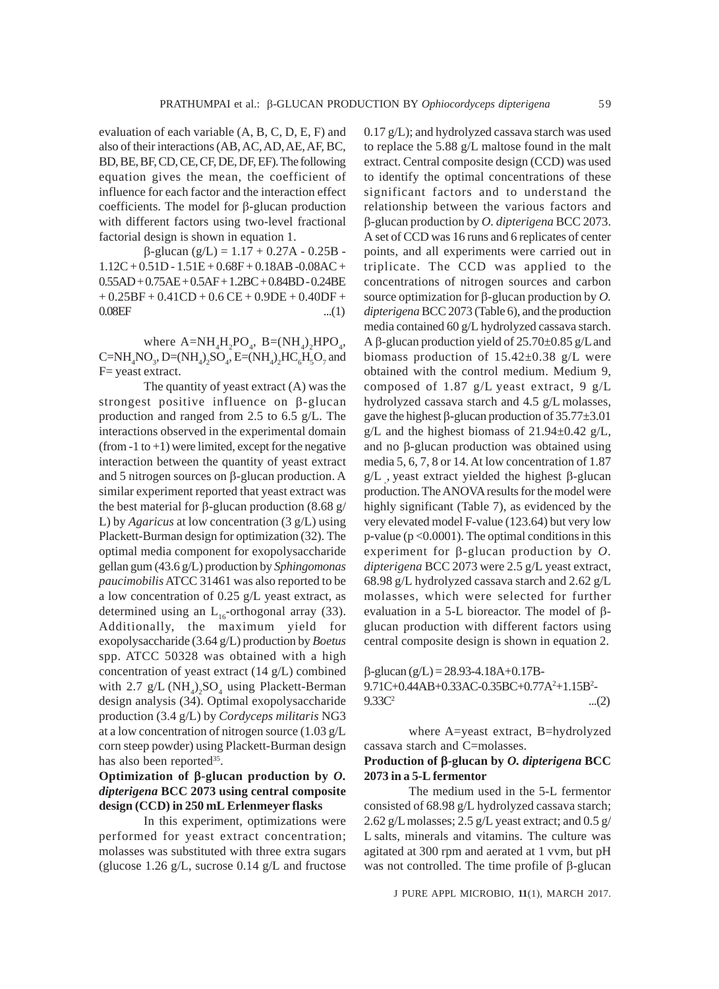evaluation of each variable (A, B, C, D, E, F) and also of their interactions (AB, AC, AD, AE, AF, BC, BD, BE, BF, CD, CE, CF, DE, DF, EF). The following equation gives the mean, the coefficient of influence for each factor and the interaction effect coefficients. The model for β-glucan production with different factors using two-level fractional factorial design is shown in equation 1.

β-glucan (g/L) = 1.17 + 0.27A - 0.25B -  $1.12C + 0.51D - 1.51E + 0.68F + 0.18AB - 0.08AC +$ 0.55AD + 0.75AE + 0.5AF + 1.2BC + 0.84BD - 0.24BE  $+ 0.25BF + 0.41CD + 0.6 CE + 0.9DE + 0.40DF +$  $0.08EF$  ...(1)

where  $A=NH_4H_2PO_4$ ,  $B=(NH_4)_2HPO_4$ ,  $C=NH<sub>4</sub>NO<sub>3</sub>$ , D=(NH<sub>4</sub>)<sub>2</sub>SO<sub>4</sub>, E=(NH<sub>4</sub>)<sub>2</sub>HC<sub>6</sub>H<sub>5</sub>O<sub>7</sub> and F= yeast extract.

The quantity of yeast extract (A) was the strongest positive influence on β-glucan production and ranged from 2.5 to 6.5 g/L. The interactions observed in the experimental domain (from  $-1$  to  $+1$ ) were limited, except for the negative interaction between the quantity of yeast extract and 5 nitrogen sources on β-glucan production. A similar experiment reported that yeast extract was the best material for β-glucan production  $(8.68 \text{ g})$ L) by *Agaricus* at low concentration (3 g/L) using Plackett-Burman design for optimization (32). The optimal media component for exopolysaccharide gellan gum (43.6 g/L) production by *Sphingomonas paucimobilis* ATCC 31461 was also reported to be a low concentration of 0.25 g/L yeast extract, as determined using an  $L_{16}$ -orthogonal array (33). Additionally, the maximum yield for exopolysaccharide (3.64 g/L) production by *Boetus* spp. ATCC 50328 was obtained with a high concentration of yeast extract (14 g/L) combined with  $2.7 \text{ g/L} (\text{NH}_4)_2\text{SO}_4$  using Plackett-Berman design analysis (34). Optimal exopolysaccharide production (3.4 g/L) by *Cordyceps militaris* NG3 at a low concentration of nitrogen source (1.03 g/L corn steep powder) using Plackett-Burman design has also been reported $35$ .

# **Optimization of** β**-glucan production by** *O. dipterigena* **BCC 2073 using central composite design (CCD) in 250 mL Erlenmeyer flasks**

In this experiment, optimizations were performed for yeast extract concentration; molasses was substituted with three extra sugars (glucose 1.26 g/L, sucrose 0.14 g/L and fructose 0.17 g/L); and hydrolyzed cassava starch was used to replace the 5.88 g/L maltose found in the malt extract. Central composite design (CCD) was used to identify the optimal concentrations of these significant factors and to understand the relationship between the various factors and β-glucan production by *O. dipterigena* BCC 2073. A set of CCD was 16 runs and 6 replicates of center points, and all experiments were carried out in triplicate. The CCD was applied to the concentrations of nitrogen sources and carbon source optimization for β-glucan production by *O. dipterigena* BCC 2073 (Table 6), and the production media contained 60 g/L hydrolyzed cassava starch. A β-glucan production yield of 25.70±0.85 g/Land biomass production of 15.42±0.38 g/L were obtained with the control medium. Medium 9, composed of 1.87 g/L yeast extract, 9 g/L hydrolyzed cassava starch and 4.5 g/L molasses, gave the highest β-glucan production of 35.77±3.01  $g/L$  and the highest biomass of 21.94 $\pm$ 0.42 g/L, and no β-glucan production was obtained using media 5, 6, 7, 8 or 14. At low concentration of 1.87 g/L, yeast extract yielded the highest β-glucan production. The ANOVA results for the model were highly significant (Table 7), as evidenced by the very elevated model F-value (123.64) but very low  $p$ -value ( $p < 0.0001$ ). The optimal conditions in this experiment for β-glucan production by *O. dipterigena* BCC 2073 were 2.5 g/L yeast extract, 68.98 g/L hydrolyzed cassava starch and 2.62 g/L molasses, which were selected for further evaluation in a 5-L bioreactor. The model of βglucan production with different factors using central composite design is shown in equation 2.

β-glucan (g/L) = 28.93-4.18A+0.17B-9.71C+0.44AB+0.33AC-0.35BC+0.77A<sup>2</sup>+1.15B<sup>2</sup>- $9.33C^2$  ...(2)

where A=yeast extract, B=hydrolyzed cassava starch and C=molasses.

### **Production of** β**-glucan by** *O. dipterigena* **BCC 2073 in a 5-L fermentor**

The medium used in the 5-L fermentor consisted of 68.98 g/L hydrolyzed cassava starch; 2.62 g/L molasses;  $2.5$  g/L yeast extract; and  $0.5$  g/ L salts, minerals and vitamins. The culture was agitated at 300 rpm and aerated at 1 vvm, but pH was not controlled. The time profile of β-glucan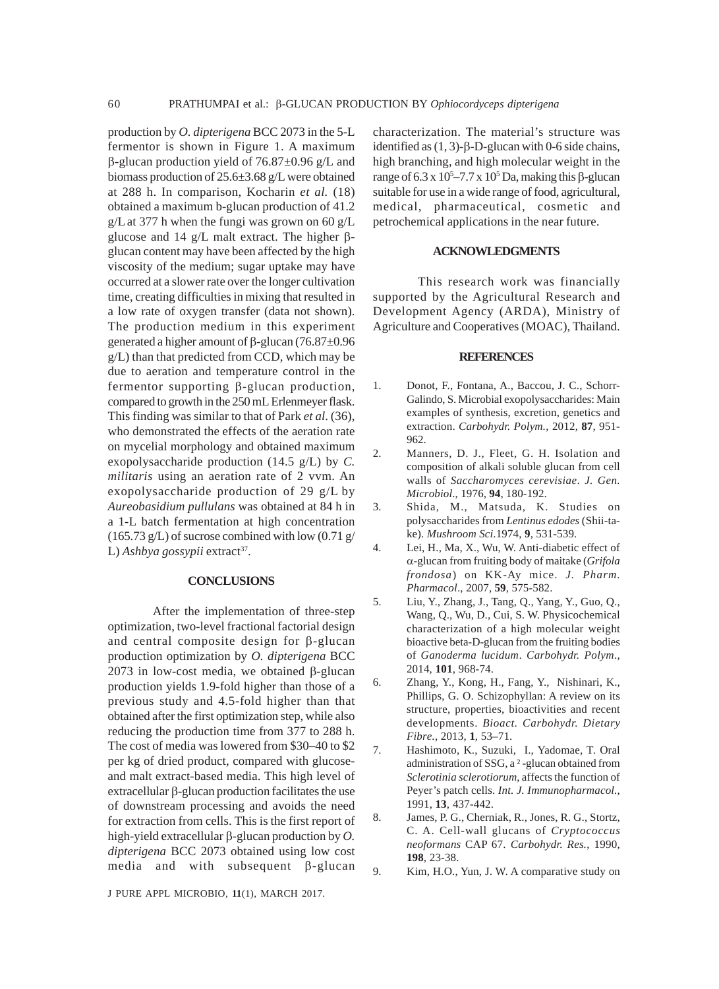production by *O. dipterigena* BCC 2073 in the 5-L fermentor is shown in Figure 1. A maximum β-glucan production yield of 76.87±0.96 g/L and biomass production of 25.6±3.68 g/L were obtained at 288 h. In comparison, Kocharin *et al.* (18) obtained a maximum b-glucan production of 41.2  $g/L$  at 377 h when the fungi was grown on 60  $g/L$ glucose and 14 g/L malt extract. The higher βglucan content may have been affected by the high viscosity of the medium; sugar uptake may have occurred at a slower rate over the longer cultivation time, creating difficulties in mixing that resulted in a low rate of oxygen transfer (data not shown). The production medium in this experiment generated a higher amount of β-glucan (76.87±0.96 g/L) than that predicted from CCD, which may be due to aeration and temperature control in the fermentor supporting β-glucan production, compared to growth in the 250 mL Erlenmeyer flask. This finding was similar to that of Park *et al*. (36), who demonstrated the effects of the aeration rate on mycelial morphology and obtained maximum exopolysaccharide production (14.5 g/L) by *C. militaris* using an aeration rate of 2 vvm. An exopolysaccharide production of 29 g/L by *Aureobasidium pullulans* was obtained at 84 h in a 1-L batch fermentation at high concentration  $(165.73 \text{ g/L})$  of sucrose combined with low  $(0.71 \text{ g/m})$ L) Ashbya gossypii extract<sup>37</sup>.

#### **CONCLUSIONS**

After the implementation of three-step optimization, two-level fractional factorial design and central composite design for β-glucan production optimization by *O. dipterigena* BCC 2073 in low-cost media, we obtained β-glucan production yields 1.9-fold higher than those of a previous study and 4.5-fold higher than that obtained after the first optimization step, while also reducing the production time from 377 to 288 h. The cost of media was lowered from \$30–40 to \$2 per kg of dried product, compared with glucoseand malt extract-based media. This high level of extracellular β-glucan production facilitates the use of downstream processing and avoids the need for extraction from cells. This is the first report of high-yield extracellular β-glucan production by *O. dipterigena* BCC 2073 obtained using low cost media and with subsequent β-glucan

characterization. The material's structure was identified as  $(1, 3)$ -β-D-glucan with 0-6 side chains, high branching, and high molecular weight in the range of 6.3 x  $10<sup>5</sup> - 7.7$  x  $10<sup>5</sup>$  Da, making this β-glucan suitable for use in a wide range of food, agricultural, medical, pharmaceutical, cosmetic and petrochemical applications in the near future.

### **ACKNOWLEDGMENTS**

This research work was financially supported by the Agricultural Research and Development Agency (ARDA), Ministry of Agriculture and Cooperatives (MOAC), Thailand.

#### **REFERENCES**

- 1. Donot, F., Fontana, A., Baccou, J. C., Schorr-Galindo, S. Microbial exopolysaccharides: Main examples of synthesis, excretion, genetics and extraction. *Carbohydr. Polym.*, 2012, **87**, 951- 962.
- 2. Manners, D. J., Fleet, G. H. Isolation and composition of alkali soluble glucan from cell walls of *Saccharomyces cerevisiae*. *J. Gen. Microbiol*., 1976, **94**, 180-192.
- 3. Shida, M., Matsuda, K. Studies on polysaccharides from *Lentinus edodes* (Shii-take). *Mushroom Sci*.1974, **9**, 531-539.
- 4. Lei, H., Ma, X., Wu, W. Anti-diabetic effect of α-glucan from fruiting body of maitake (*Grifola frondosa*) on KK-Ay mice. *J. Pharm. Pharmacol*., 2007, **59**, 575-582.
- 5. Liu, Y., Zhang, J., Tang, Q., Yang, Y., Guo, Q., Wang, Q., Wu, D., Cui, S. W. Physicochemical characterization of a high molecular weight bioactive beta-D-glucan from the fruiting bodies of *Ganoderma lucidum*. *Carbohydr. Polym*., 2014, **101**, 968-74.
- 6. Zhang, Y., Kong, H., Fang, Y., Nishinari, K., Phillips, G. O. Schizophyllan: A review on its structure, properties, bioactivities and recent developments. *Bioact. Carbohydr. Dietary Fibre.*, 2013, **1**, 53–71.
- 7. Hashimoto, K., Suzuki, I., Yadomae, T. Oral administration of SSG, a ² -glucan obtained from *Sclerotinia sclerotiorum*, affects the function of Peyer's patch cells. *Int. J. Immunopharmacol.*, 1991, **13**, 437-442.
- 8. James, P. G., Cherniak, R., Jones, R. G., Stortz, C. A. Cell-wall glucans of *Cryptococcus neoformans* CAP 67. *Carbohydr. Res.*, 1990, **198**, 23-38.
- 9. Kim, H.O., Yun, J. W. A comparative study on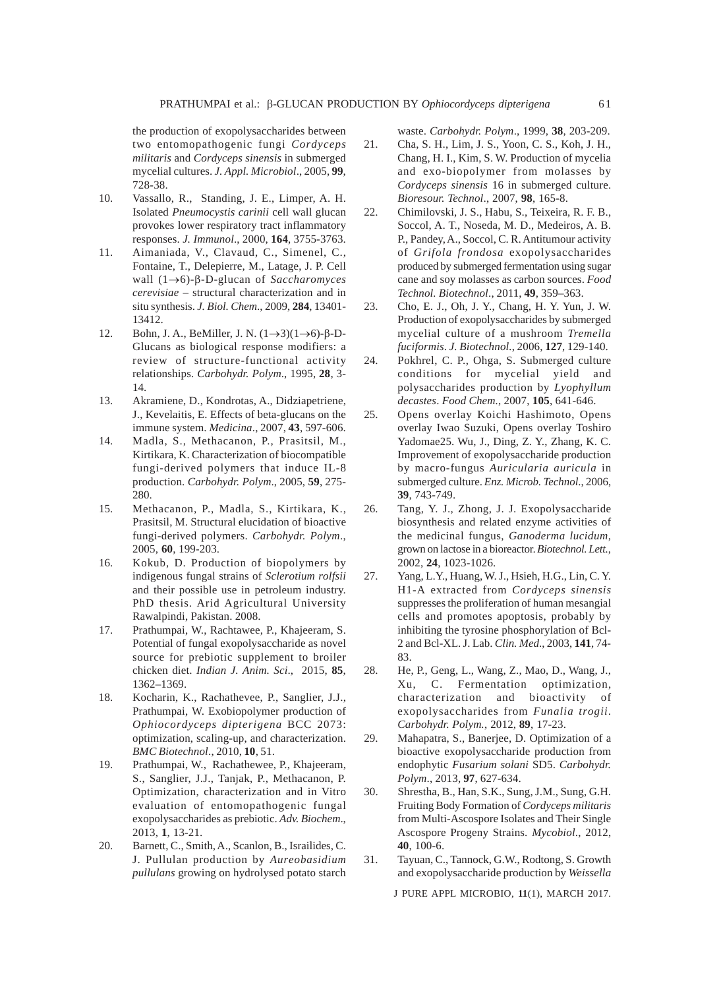the production of exopolysaccharides between two entomopathogenic fungi *Cordyceps militaris* and *Cordyceps sinensis* in submerged mycelial cultures. *J. Appl. Microbiol*., 2005, **99**, 728-38.

- 10. Vassallo, R., Standing, J. E., Limper, A. H. Isolated *Pneumocystis carinii* cell wall glucan provokes lower respiratory tract inflammatory responses. *J. Immunol*., 2000, **164**, 3755-3763.
- 11. Aimaniada, V., Clavaud, C., Simenel, C., Fontaine, T., Delepierre, M., Latage, J. P. Cell wall (1→6)-β-D-glucan of *Saccharomyces cerevisiae* – structural characterization and in situ synthesis. *J. Biol. Chem*., 2009, **284**, 13401- 13412.
- 12. Bohn, J. A., BeMiller, J. N. (1→3)(1→6)-β-D-Glucans as biological response modifiers: a review of structure-functional activity relationships. *Carbohydr. Polym*., 1995, **28**, 3- 14.
- 13. Akramiene, D., Kondrotas, A., Didziapetriene, J., Kevelaitis, E. Effects of beta-glucans on the immune system. *Medicina*., 2007, **43**, 597-606.
- 14. Madla, S., Methacanon, P., Prasitsil, M., Kirtikara, K. Characterization of biocompatible fungi-derived polymers that induce IL-8 production. *Carbohydr. Polym*., 2005, **59**, 275- 280.
- 15. Methacanon, P., Madla, S., Kirtikara, K., Prasitsil, M. Structural elucidation of bioactive fungi-derived polymers. *Carbohydr. Polym*., 2005, **60**, 199-203.
- 16. Kokub, D. Production of biopolymers by indigenous fungal strains of *Sclerotium rolfsii* and their possible use in petroleum industry. PhD thesis. Arid Agricultural University Rawalpindi, Pakistan. 2008.
- 17. Prathumpai, W., Rachtawee, P., Khajeeram, S. Potential of fungal exopolysaccharide as novel source for prebiotic supplement to broiler chicken diet. *Indian J. Anim. Sci*., 2015, **85**, 1362–1369.
- 18. Kocharin, K., Rachathevee, P., Sanglier, J.J., Prathumpai, W. Exobiopolymer production of *Ophiocordyceps dipterigena* BCC 2073: optimization, scaling-up, and characterization. *BMC Biotechnol*., 2010, **10**, 51.
- 19. Prathumpai, W., Rachathewee, P., Khajeeram, S., Sanglier, J.J., Tanjak, P., Methacanon, P. Optimization, characterization and in Vitro evaluation of entomopathogenic fungal exopolysaccharides as prebiotic. *Adv. Biochem*., 2013, **1**, 13-21.
- 20. Barnett, C., Smith, A., Scanlon, B., Israilides, C. J. Pullulan production by *Aureobasidium pullulans* growing on hydrolysed potato starch

waste. *Carbohydr. Polym*., 1999, **38**, 203-209.

- 21. Cha, S. H., Lim, J. S., Yoon, C. S., Koh, J. H., Chang, H. I., Kim, S. W. Production of mycelia and exo-biopolymer from molasses by *Cordyceps sinensis* 16 in submerged culture. *Bioresour. Technol*., 2007, **98**, 165-8.
- 22. Chimilovski, J. S., Habu, S., Teixeira, R. F. B., Soccol, A. T., Noseda, M. D., Medeiros, A. B. P., Pandey, A., Soccol, C. R. Antitumour activity of *Grifola frondosa* exopolysaccharides produced by submerged fermentation using sugar cane and soy molasses as carbon sources. *Food Technol. Biotechnol*., 2011, **49**, 359–363.
- 23. Cho, E. J., Oh, J. Y., Chang, H. Y. Yun, J. W. Production of exopolysaccharides by submerged mycelial culture of a mushroom *Tremella fuciformis*. *J. Biotechnol.*, 2006, **127**, 129-140.
- 24. Pokhrel, C. P., Ohga, S. Submerged culture conditions for mycelial yield and polysaccharides production by *Lyophyllum decastes*. *Food Chem.*, 2007, **105**, 641-646.
- 25. Opens overlay Koichi Hashimoto, Opens overlay Iwao Suzuki, Opens overlay Toshiro Yadomae25. Wu, J., Ding, Z. Y., Zhang, K. C. Improvement of exopolysaccharide production by macro-fungus *Auricularia auricula* in submerged culture. *Enz. Microb. Technol*., 2006, **39**, 743-749.
- 26. Tang, Y. J., Zhong, J. J. Exopolysaccharide biosynthesis and related enzyme activities of the medicinal fungus, *Ganoderma lucidum*, grown on lactose in a bioreactor. *Biotechnol. Lett.*, 2002, **24**, 1023-1026.
- 27. Yang, L.Y., Huang, W. J., Hsieh, H.G., Lin, C. Y. H1-A extracted from *Cordyceps sinensis* suppresses the proliferation of human mesangial cells and promotes apoptosis, probably by inhibiting the tyrosine phosphorylation of Bcl-2 and Bcl-XL. J. Lab. *Clin. Med*., 2003, **141**, 74- 83.
- 28. He, P., Geng, L., Wang, Z., Mao, D., Wang, J., Xu, C. Fermentation optimization, characterization and bioactivity of exopolysaccharides from *Funalia trogii*. *Carbohydr. Polym.*, 2012, **89**, 17-23.
- 29. Mahapatra, S., Banerjee, D. Optimization of a bioactive exopolysaccharide production from endophytic *Fusarium solani* SD5. *Carbohydr. Polym*., 2013, **97**, 627-634.
- 30. Shrestha, B., Han, S.K., Sung, J.M., Sung, G.H. Fruiting Body Formation of *Cordyceps militaris* from Multi-Ascospore Isolates and Their Single Ascospore Progeny Strains. *Mycobiol*., 2012, **40**, 100-6.
- 31. Tayuan, C., Tannock, G.W., Rodtong, S. Growth and exopolysaccharide production by *Weissella*